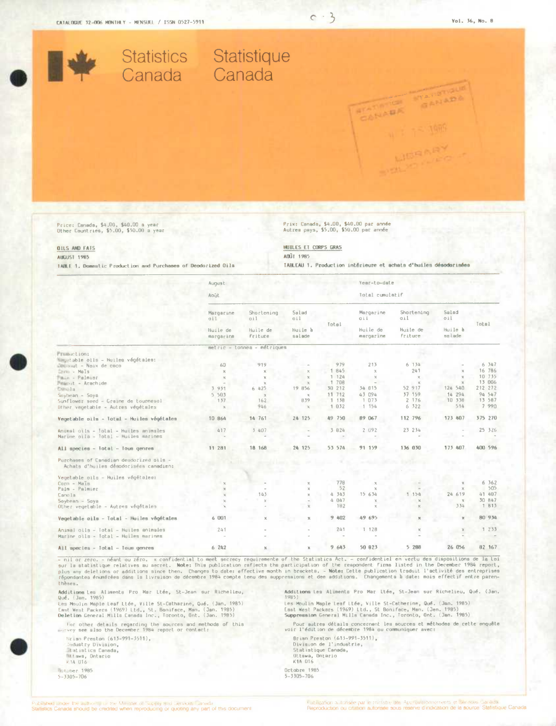

Price: Canada, \$4,00, \$40.00 a year<br>Other Countries, \$5.00, \$50.00 a year

TABLE 1. Domestic Production and Purchases of Deodorized Oils

**OILS AND FATS AUGUST 1985** 

## Prix: Canada, \$4.00, \$40.00 par année<br>Autres pays, \$5.00, \$50.00 par année

 $C - 3$ 

HUILES ET CORPS GRAS AOÜE 1985

TABLEAU 1. Pendantion intérieure et achats d'huiles désodorisées

|                                                                                   | August                  |                                          |                                   | Year-to-date    |                                                  |                                                 |                                   |         |
|-----------------------------------------------------------------------------------|-------------------------|------------------------------------------|-----------------------------------|-----------------|--------------------------------------------------|-------------------------------------------------|-----------------------------------|---------|
|                                                                                   | Acût                    |                                          |                                   | Total cumulatif |                                                  |                                                 |                                   |         |
|                                                                                   | Margarine<br><b>ail</b> | Shortening<br>011<br>Huile de<br>friture | Salad<br>oil<br>Huile à<br>salade | Total           | Margarine<br><b>Oii</b><br>Huile de<br>margarine | Shortening<br><b>Gil</b><br>Huile de<br>friture | Salad<br>oil<br>Huile à<br>sslade | Total   |
|                                                                                   | Huile de<br>margarina   |                                          |                                   |                 |                                                  |                                                 |                                   |         |
|                                                                                   |                         | metric - tonnea - métriques              |                                   |                 |                                                  |                                                 |                                   |         |
| Frametion:                                                                        |                         |                                          |                                   |                 |                                                  |                                                 |                                   |         |
| Magetable olls - Huiles végétales:                                                |                         |                                          |                                   |                 |                                                  |                                                 |                                   |         |
| Ellennut - Noix de coco                                                           | 60                      | 919                                      |                                   | 979             | 213                                              | 6 134                                           |                                   | 6 347   |
| Lern - Mals                                                                       | $\mathcal{R}$           | X.                                       | $\chi$                            | 845             | $\mathbf x$                                      | 241                                             | $\mathcal{M}$                     | 16 786  |
| Pain - Palmisc                                                                    | $\mathcal{M}$           | X.                                       | $\mathbbm{K}$                     | 1 124           | $\times$                                         | $\mathcal{M}$                                   | $\mathcal{R}$                     | 10 735  |
| Peanut - Arachide                                                                 |                         | $\mathbf{x}$                             | $\mathcal{R}$                     | 1 708           | $\sim$                                           | $\mathcal{H}$                                   | 30 <sup>°</sup>                   | 13 006  |
| Campla                                                                            | 3 931                   | 6 425                                    | 19 856                            | 30 212          | 34 815                                           | 52 917                                          | 124 540                           | 212 272 |
| $Soybean - Soya$                                                                  | 5 5 0 3                 | $\mathbf x$                              | $\chi$                            | 11 712          | 43 094                                           | 37 159                                          | 14 294                            | 94 547  |
| Sunflower seed - Graine de tournesol                                              | 137                     | 162                                      | 839                               | 1 138           | 1 073                                            | 2 176                                           | 10 338                            | 13 587  |
| Other vegetable - Autres végétales                                                | $\times$                | 946                                      | $\chi$                            | 1 032           | 1 154                                            | 6.322                                           | 514                               | 7 990   |
| Vegetable oils - Total - Huiles végétales                                         | 10 864                  | 14 761                                   | 24 125                            | A9 750          | 89 067                                           | 112 796                                         | 173 407                           | 375 270 |
| Animal gils - Total - Huiles animales                                             | 417                     | 3.4137                                   |                                   | 3 824           | 2 092                                            | 23 234                                          |                                   | 25 326  |
| Marine oils - Total - Huiles marines                                              |                         |                                          |                                   |                 |                                                  |                                                 |                                   |         |
| All species - Total - Tous genres                                                 | 11 281                  | 18 168                                   | 24 125                            | 53 574          | 91 159                                           | 136 030                                         | 173 407                           | 400 596 |
| Purchases of Canadian deudorized pils -<br>Achats d'huiles désodorisées canadien: |                         |                                          |                                   |                 |                                                  |                                                 |                                   |         |
| Vegetable oils - Huiles végétalse:                                                |                         |                                          |                                   |                 |                                                  |                                                 |                                   |         |
| Corn - Mals                                                                       |                         |                                          | $\mathbb K$                       | 778             |                                                  |                                                 |                                   | 6 362   |
| Palm - Palmier                                                                    |                         |                                          | $\mathcal{H}$                     | 52              |                                                  |                                                 | $\chi$                            | 505     |
| Canola                                                                            |                         | 143                                      | x                                 | 4, 343          | 15 634                                           | 1154                                            | 24 619                            | 41 407  |
| $Soybean - Saya$                                                                  | $\chi$                  | $\mathbb X$                              |                                   | 4 047           |                                                  | ×.                                              | $\times$                          | 30 847  |
| Other vegetable - Autres végétales                                                |                         |                                          | $\mathbf{x}$                      | 182             | $\mathbf{x}$                                     | $\mathbf x$                                     | 334                               | 1 813   |
| Vegetable oils - Total - Huiles végétales                                         | 6001                    | $\chi$                                   | $\mathbf{M}$                      | 9 402           | 49 695                                           |                                                 | $\mathbf x$                       | 80 934  |
| Animal oils - Total - Huiles animales                                             | 241                     |                                          |                                   | 241             | 1,128                                            |                                                 |                                   | 1 233   |
| Marine oils - Total - Huiles marines                                              |                         |                                          |                                   |                 |                                                  |                                                 |                                   |         |
| All species - Intal - Inus genera                                                 | 6.242                   |                                          |                                   | 9,643           | 50 823                                           | 5 288                                           | 26 056                            | 82 167  |

- nil or zero, - néant ou zéro, - x confidential to meet secrecy requiremente of the Statistics Act. - confidentiel en vertu des dispositions de la loi<br>pus my deletions or additions since then. This publication rafiects th thèses.

Additions Lea Aliments Pro Mar Ltée, St-Jean sur Richelleu, Modutions Les Aluments Fro Har Liee, Stroken our nationalist<br>Qué, (Jan. 1985)<br>Les Moulin Maple Leaf Ltée, Ville St-Catharine, Qué, (Jan. 1985)

East West Packers (1969) Ltd., St. Boniface, Man. (Jan. 1985)<br>Deletion General Mills Canada Inc., Toronto, Ont. (Jan. 1985)

For other details regarding the sources and methods of this<br>marvey see also the December 1984 report or contact:

Hrian Preston (613–991–3511),<br>Industry Division,<br>Intatistics Canada, Witawa, Ontario

(istaber 1985)<br>5-3305-706

Additions Les Aliments Pro Mar Ltée, St-Jean sur Richelieu, Qué. (Jan.

National case Alimenta (10 Mai Lice) at School St Nichting, Que<br>1985)<br>Es Moulin Maple Leaf Life, Ville St-Catherine, Que. (Jan. 1985)<br>Euppression General Mills Canada Inc., Toronto, Qnt. (Jan. 1985)

.<br>Pour autres détails concernant les sources et méthodes de cette enquête<br>voir l'édition de décembre 1984 ou communiquer avec:

Brisn Preston (613-991-3511),<br>Division de l'industrie,<br>Statistique Canada,

- Uttswa, Ontario
- 

Octobre 1985<br>5-3305-706